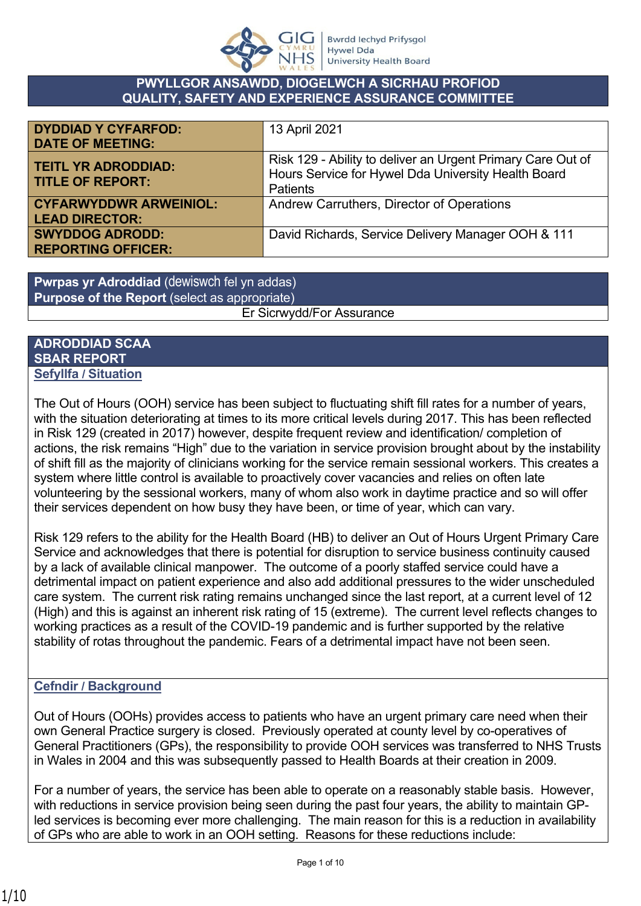

#### **PWYLLGOR ANSAWDD, DIOGELWCH A SICRHAU PROFIOD QUALITY, SAFETY AND EXPERIENCE ASSURANCE COMMITTEE**

| <b>DYDDIAD Y CYFARFOD:</b>                             | 13 April 2021                                                                                                                         |
|--------------------------------------------------------|---------------------------------------------------------------------------------------------------------------------------------------|
| <b>DATE OF MEETING:</b>                                |                                                                                                                                       |
| <b>TEITL YR ADRODDIAD:</b><br><b>TITLE OF REPORT:</b>  | Risk 129 - Ability to deliver an Urgent Primary Care Out of<br>Hours Service for Hywel Dda University Health Board<br><b>Patients</b> |
| <b>CYFARWYDDWR ARWEINIOL:</b><br><b>LEAD DIRECTOR:</b> | Andrew Carruthers, Director of Operations                                                                                             |
| <b>SWYDDOG ADRODD:</b><br><b>REPORTING OFFICER:</b>    | David Richards, Service Delivery Manager OOH & 111                                                                                    |

**Pwrpas yr Adroddiad** (dewiswch fel yn addas) **Purpose of the Report** (select as appropriate)

Er Sicrwydd/For Assurance

#### **ADRODDIAD SCAA SBAR REPORT Sefyllfa / Situation**

The Out of Hours (OOH) service has been subject to fluctuating shift fill rates for a number of years, with the situation deteriorating at times to its more critical levels during 2017. This has been reflected in Risk 129 (created in 2017) however, despite frequent review and identification/ completion of actions, the risk remains "High" due to the variation in service provision brought about by the instability of shift fill as the majority of clinicians working for the service remain sessional workers. This creates a system where little control is available to proactively cover vacancies and relies on often late volunteering by the sessional workers, many of whom also work in daytime practice and so will offer their services dependent on how busy they have been, or time of year, which can vary.

Risk 129 refers to the ability for the Health Board (HB) to deliver an Out of Hours Urgent Primary Care Service and acknowledges that there is potential for disruption to service business continuity caused by a lack of available clinical manpower. The outcome of a poorly staffed service could have a detrimental impact on patient experience and also add additional pressures to the wider unscheduled care system. The current risk rating remains unchanged since the last report, at a current level of 12 (High) and this is against an inherent risk rating of 15 (extreme). The current level reflects changes to working practices as a result of the COVID-19 pandemic and is further supported by the relative stability of rotas throughout the pandemic. Fears of a detrimental impact have not been seen.

# **Cefndir / Background**

Out of Hours (OOHs) provides access to patients who have an urgent primary care need when their own General Practice surgery is closed. Previously operated at county level by co-operatives of General Practitioners (GPs), the responsibility to provide OOH services was transferred to NHS Trusts in Wales in 2004 and this was subsequently passed to Health Boards at their creation in 2009.

For a number of years, the service has been able to operate on a reasonably stable basis. However, with reductions in service provision being seen during the past four years, the ability to maintain GPled services is becoming ever more challenging. The main reason for this is a reduction in availability of GPs who are able to work in an OOH setting. Reasons for these reductions include: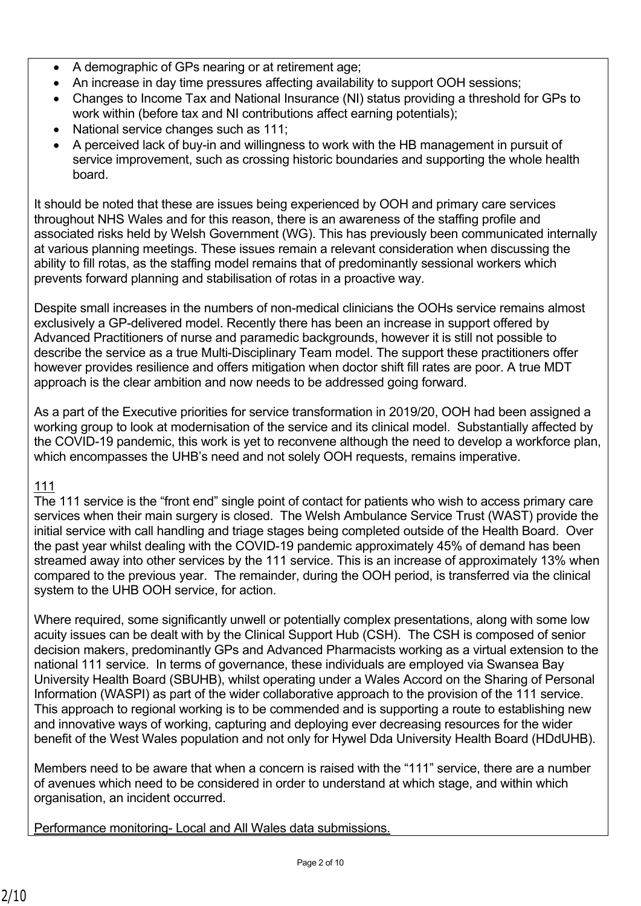- A demographic of GPs nearing or at retirement age;
- An increase in day time pressures affecting availability to support OOH sessions;
- Changes to Income Tax and National Insurance (NI) status providing a threshold for GPs to work within (before tax and NI contributions affect earning potentials);
- National service changes such as 111;
- A perceived lack of buy-in and willingness to work with the HB management in pursuit of service improvement, such as crossing historic boundaries and supporting the whole health board.

It should be noted that these are issues being experienced by OOH and primary care services throughout NHS Wales and for this reason, there is an awareness of the staffing profile and associated risks held by Welsh Government (WG). This has previously been communicated internally at various planning meetings. These issues remain a relevant consideration when discussing the ability to fill rotas, as the staffing model remains that of predominantly sessional workers which prevents forward planning and stabilisation of rotas in a proactive way.

Despite small increases in the numbers of non-medical clinicians the OOHs service remains almost exclusively a GP-delivered model. Recently there has been an increase in support offered by Advanced Practitioners of nurse and paramedic backgrounds, however it is still not possible to describe the service as a true Multi-Disciplinary Team model. The support these practitioners offer however provides resilience and offers mitigation when doctor shift fill rates are poor. A true MDT approach is the clear ambition and now needs to be addressed going forward.

As a part of the Executive priorities for service transformation in 2019/20, OOH had been assigned a working group to look at modernisation of the service and its clinical model. Substantially affected by the COVID-19 pandemic, this work is yet to reconvene although the need to develop a workforce plan, which encompasses the UHB's need and not solely OOH requests, remains imperative.

# 111

The 111 service is the "front end" single point of contact for patients who wish to access primary care services when their main surgery is closed. The Welsh Ambulance Service Trust (WAST) provide the initial service with call handling and triage stages being completed outside of the Health Board. Over the past year whilst dealing with the COVID-19 pandemic approximately 45% of demand has been streamed away into other services by the 111 service. This is an increase of approximately 13% when compared to the previous year. The remainder, during the OOH period, is transferred via the clinical system to the UHB OOH service, for action.

Where required, some significantly unwell or potentially complex presentations, along with some low acuity issues can be dealt with by the Clinical Support Hub (CSH). The CSH is composed of senior decision makers, predominantly GPs and Advanced Pharmacists working as a virtual extension to the national 111 service. In terms of governance, these individuals are employed via Swansea Bay University Health Board (SBUHB), whilst operating under a Wales Accord on the Sharing of Personal Information (WASPI) as part of the wider collaborative approach to the provision of the 111 service. This approach to regional working is to be commended and is supporting a route to establishing new and innovative ways of working, capturing and deploying ever decreasing resources for the wider benefit of the West Wales population and not only for Hywel Dda University Health Board (HDdUHB).

Members need to be aware that when a concern is raised with the "111" service, there are a number of avenues which need to be considered in order to understand at which stage, and within which organisation, an incident occurred.

Performance monitoring- Local and All Wales data submissions.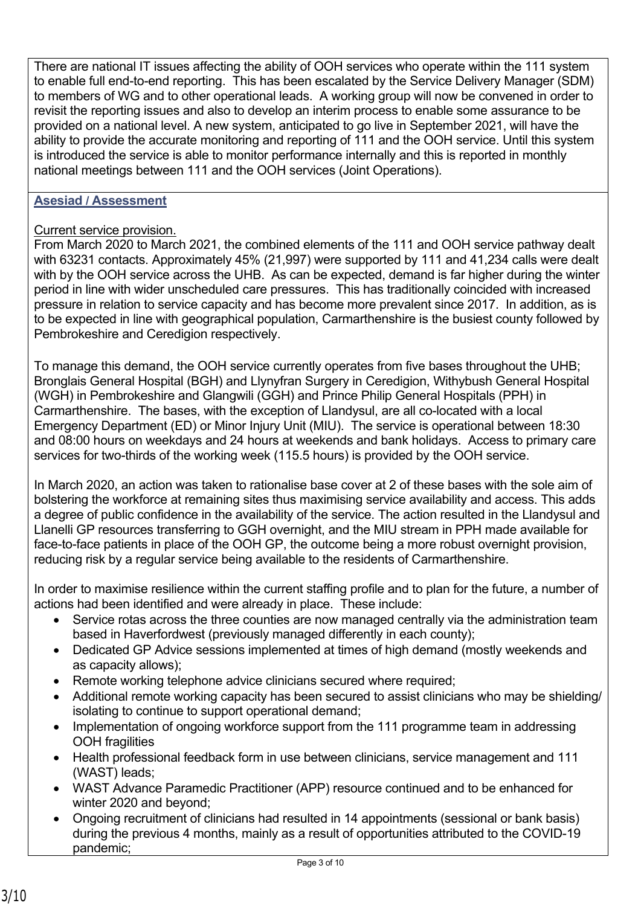There are national IT issues affecting the ability of OOH services who operate within the 111 system to enable full end-to-end reporting. This has been escalated by the Service Delivery Manager (SDM) to members of WG and to other operational leads. A working group will now be convened in order to revisit the reporting issues and also to develop an interim process to enable some assurance to be provided on a national level. A new system, anticipated to go live in September 2021, will have the ability to provide the accurate monitoring and reporting of 111 and the OOH service. Until this system is introduced the service is able to monitor performance internally and this is reported in monthly national meetings between 111 and the OOH services (Joint Operations).

### **Asesiad / Assessment**

### Current service provision.

From March 2020 to March 2021, the combined elements of the 111 and OOH service pathway dealt with 63231 contacts. Approximately 45% (21,997) were supported by 111 and 41,234 calls were dealt with by the OOH service across the UHB. As can be expected, demand is far higher during the winter period in line with wider unscheduled care pressures. This has traditionally coincided with increased pressure in relation to service capacity and has become more prevalent since 2017. In addition, as is to be expected in line with geographical population, Carmarthenshire is the busiest county followed by Pembrokeshire and Ceredigion respectively.

To manage this demand, the OOH service currently operates from five bases throughout the UHB; Bronglais General Hospital (BGH) and Llynyfran Surgery in Ceredigion, Withybush General Hospital (WGH) in Pembrokeshire and Glangwili (GGH) and Prince Philip General Hospitals (PPH) in Carmarthenshire. The bases, with the exception of Llandysul, are all co-located with a local Emergency Department (ED) or Minor Injury Unit (MIU). The service is operational between 18:30 and 08:00 hours on weekdays and 24 hours at weekends and bank holidays. Access to primary care services for two-thirds of the working week (115.5 hours) is provided by the OOH service.

In March 2020, an action was taken to rationalise base cover at 2 of these bases with the sole aim of bolstering the workforce at remaining sites thus maximising service availability and access. This adds a degree of public confidence in the availability of the service. The action resulted in the Llandysul and Llanelli GP resources transferring to GGH overnight, and the MIU stream in PPH made available for face-to-face patients in place of the OOH GP, the outcome being a more robust overnight provision, reducing risk by a regular service being available to the residents of Carmarthenshire.

In order to maximise resilience within the current staffing profile and to plan for the future, a number of actions had been identified and were already in place. These include:

- Service rotas across the three counties are now managed centrally via the administration team based in Haverfordwest (previously managed differently in each county);
- Dedicated GP Advice sessions implemented at times of high demand (mostly weekends and as capacity allows);
- Remote working telephone advice clinicians secured where required;
- Additional remote working capacity has been secured to assist clinicians who may be shielding/ isolating to continue to support operational demand;
- Implementation of ongoing workforce support from the 111 programme team in addressing OOH fragilities
- Health professional feedback form in use between clinicians, service management and 111 (WAST) leads;
- WAST Advance Paramedic Practitioner (APP) resource continued and to be enhanced for winter 2020 and beyond;
- Ongoing recruitment of clinicians had resulted in 14 appointments (sessional or bank basis) during the previous 4 months, mainly as a result of opportunities attributed to the COVID-19 pandemic;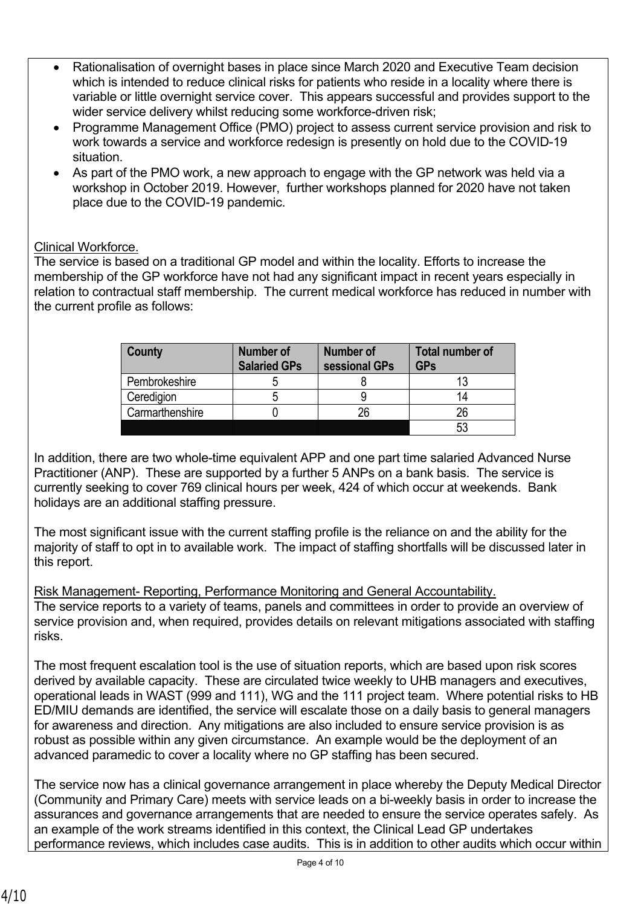- Rationalisation of overnight bases in place since March 2020 and Executive Team decision which is intended to reduce clinical risks for patients who reside in a locality where there is variable or little overnight service cover. This appears successful and provides support to the wider service delivery whilst reducing some workforce-driven risk;
- Programme Management Office (PMO) project to assess current service provision and risk to work towards a service and workforce redesign is presently on hold due to the COVID-19 situation.
- As part of the PMO work, a new approach to engage with the GP network was held via a workshop in October 2019. However, further workshops planned for 2020 have not taken place due to the COVID-19 pandemic.

## Clinical Workforce.

The service is based on a traditional GP model and within the locality. Efforts to increase the membership of the GP workforce have not had any significant impact in recent years especially in relation to contractual staff membership. The current medical workforce has reduced in number with the current profile as follows:

| County          | <b>Number of</b><br><b>Salaried GPs</b> | Number of<br>sessional GPs | <b>Total number of</b><br><b>GPs</b> |
|-----------------|-----------------------------------------|----------------------------|--------------------------------------|
| Pembrokeshire   |                                         |                            |                                      |
| Ceredigion      |                                         |                            |                                      |
| Carmarthenshire |                                         | 26                         | 26                                   |
|                 |                                         |                            | -5.                                  |

In addition, there are two whole-time equivalent APP and one part time salaried Advanced Nurse Practitioner (ANP). These are supported by a further 5 ANPs on a bank basis. The service is currently seeking to cover 769 clinical hours per week, 424 of which occur at weekends. Bank holidays are an additional staffing pressure.

The most significant issue with the current staffing profile is the reliance on and the ability for the majority of staff to opt in to available work. The impact of staffing shortfalls will be discussed later in this report.

Risk Management- Reporting, Performance Monitoring and General Accountability. The service reports to a variety of teams, panels and committees in order to provide an overview of service provision and, when required, provides details on relevant mitigations associated with staffing risks.

The most frequent escalation tool is the use of situation reports, which are based upon risk scores derived by available capacity. These are circulated twice weekly to UHB managers and executives, operational leads in WAST (999 and 111), WG and the 111 project team. Where potential risks to HB ED/MIU demands are identified, the service will escalate those on a daily basis to general managers for awareness and direction. Any mitigations are also included to ensure service provision is as robust as possible within any given circumstance. An example would be the deployment of an advanced paramedic to cover a locality where no GP staffing has been secured.

The service now has a clinical governance arrangement in place whereby the Deputy Medical Director (Community and Primary Care) meets with service leads on a bi-weekly basis in order to increase the assurances and governance arrangements that are needed to ensure the service operates safely. As an example of the work streams identified in this context, the Clinical Lead GP undertakes performance reviews, which includes case audits. This is in addition to other audits which occur within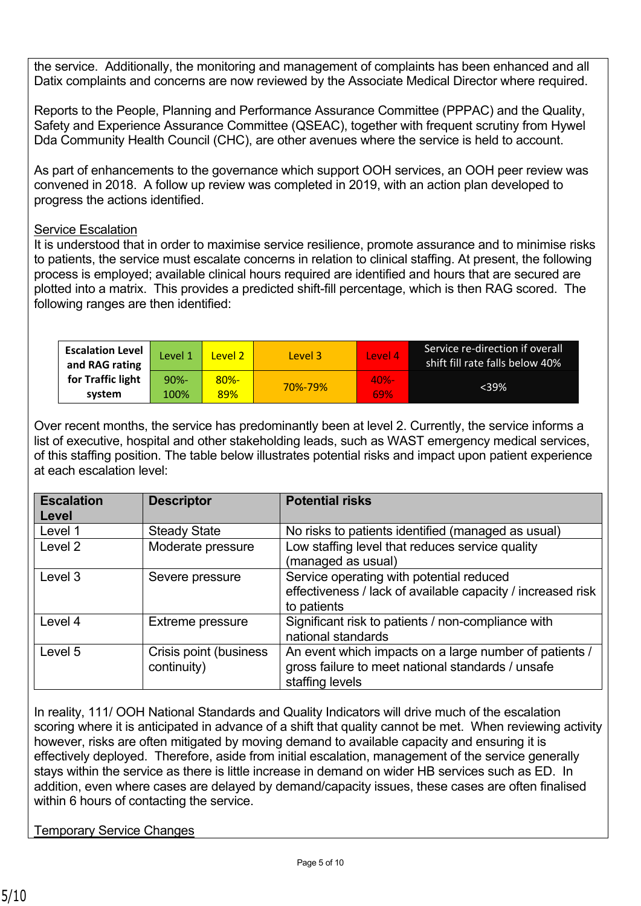the service. Additionally, the monitoring and management of complaints has been enhanced and all Datix complaints and concerns are now reviewed by the Associate Medical Director where required.

Reports to the People, Planning and Performance Assurance Committee (PPPAC) and the Quality, Safety and Experience Assurance Committee (QSEAC), together with frequent scrutiny from Hywel Dda Community Health Council (CHC), are other avenues where the service is held to account.

As part of enhancements to the governance which support OOH services, an OOH peer review was convened in 2018. A follow up review was completed in 2019, with an action plan developed to progress the actions identified.

### Service Escalation

It is understood that in order to maximise service resilience, promote assurance and to minimise risks to patients, the service must escalate concerns in relation to clinical staffing. At present, the following process is employed; available clinical hours required are identified and hours that are secured are plotted into a matrix. This provides a predicted shift-fill percentage, which is then RAG scored. The following ranges are then identified:

| <b>Escalation Level</b><br>and RAG rating | Level 1 | Level 2 | Level 3 | Level 4 | Service re-direction if overall<br>shift fill rate falls below 40% |
|-------------------------------------------|---------|---------|---------|---------|--------------------------------------------------------------------|
| for Traffic light                         | $90% -$ | $80% -$ | 70%-79% | $40% -$ | <39%                                                               |
| system                                    | 100%    | 89%     |         | 69%     |                                                                    |

Over recent months, the service has predominantly been at level 2. Currently, the service informs a list of executive, hospital and other stakeholding leads, such as WAST emergency medical services, of this staffing position. The table below illustrates potential risks and impact upon patient experience at each escalation level:

| <b>Escalation</b><br>Level | <b>Descriptor</b>                     | <b>Potential risks</b>                                                                                                         |
|----------------------------|---------------------------------------|--------------------------------------------------------------------------------------------------------------------------------|
| Level 1                    | <b>Steady State</b>                   | No risks to patients identified (managed as usual)                                                                             |
| Level <sub>2</sub>         | Moderate pressure                     | Low staffing level that reduces service quality<br>(managed as usual)                                                          |
| Level 3                    | Severe pressure                       | Service operating with potential reduced<br>effectiveness / lack of available capacity / increased risk<br>to patients         |
| Level 4                    | <b>Extreme pressure</b>               | Significant risk to patients / non-compliance with<br>national standards                                                       |
| Level 5                    | Crisis point (business<br>continuity) | An event which impacts on a large number of patients /<br>gross failure to meet national standards / unsafe<br>staffing levels |

In reality, 111/ OOH National Standards and Quality Indicators will drive much of the escalation scoring where it is anticipated in advance of a shift that quality cannot be met. When reviewing activity however, risks are often mitigated by moving demand to available capacity and ensuring it is effectively deployed. Therefore, aside from initial escalation, management of the service generally stays within the service as there is little increase in demand on wider HB services such as ED. In addition, even where cases are delayed by demand/capacity issues, these cases are often finalised within 6 hours of contacting the service.

Temporary Service Changes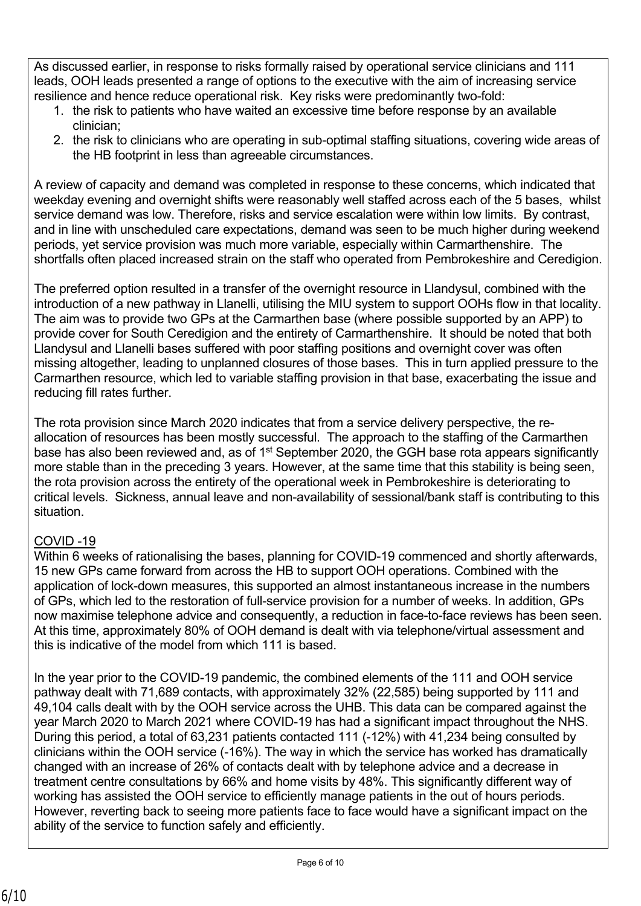As discussed earlier, in response to risks formally raised by operational service clinicians and 111 leads, OOH leads presented a range of options to the executive with the aim of increasing service resilience and hence reduce operational risk. Key risks were predominantly two-fold:

- 1. the risk to patients who have waited an excessive time before response by an available clinician;
- 2. the risk to clinicians who are operating in sub-optimal staffing situations, covering wide areas of the HB footprint in less than agreeable circumstances.

A review of capacity and demand was completed in response to these concerns, which indicated that weekday evening and overnight shifts were reasonably well staffed across each of the 5 bases, whilst service demand was low. Therefore, risks and service escalation were within low limits. By contrast, and in line with unscheduled care expectations, demand was seen to be much higher during weekend periods, yet service provision was much more variable, especially within Carmarthenshire. The shortfalls often placed increased strain on the staff who operated from Pembrokeshire and Ceredigion.

The preferred option resulted in a transfer of the overnight resource in Llandysul, combined with the introduction of a new pathway in Llanelli, utilising the MIU system to support OOHs flow in that locality. The aim was to provide two GPs at the Carmarthen base (where possible supported by an APP) to provide cover for South Ceredigion and the entirety of Carmarthenshire. It should be noted that both Llandysul and Llanelli bases suffered with poor staffing positions and overnight cover was often missing altogether, leading to unplanned closures of those bases. This in turn applied pressure to the Carmarthen resource, which led to variable staffing provision in that base, exacerbating the issue and reducing fill rates further.

The rota provision since March 2020 indicates that from a service delivery perspective, the reallocation of resources has been mostly successful. The approach to the staffing of the Carmarthen base has also been reviewed and, as of 1<sup>st</sup> September 2020, the GGH base rota appears significantly more stable than in the preceding 3 years. However, at the same time that this stability is being seen, the rota provision across the entirety of the operational week in Pembrokeshire is deteriorating to critical levels. Sickness, annual leave and non-availability of sessional/bank staff is contributing to this situation.

# COVID -19

Within 6 weeks of rationalising the bases, planning for COVID-19 commenced and shortly afterwards, 15 new GPs came forward from across the HB to support OOH operations. Combined with the application of lock-down measures, this supported an almost instantaneous increase in the numbers of GPs, which led to the restoration of full-service provision for a number of weeks. In addition, GPs now maximise telephone advice and consequently, a reduction in face-to-face reviews has been seen. At this time, approximately 80% of OOH demand is dealt with via telephone/virtual assessment and this is indicative of the model from which 111 is based.

In the year prior to the COVID-19 pandemic, the combined elements of the 111 and OOH service pathway dealt with 71,689 contacts, with approximately 32% (22,585) being supported by 111 and 49,104 calls dealt with by the OOH service across the UHB. This data can be compared against the year March 2020 to March 2021 where COVID-19 has had a significant impact throughout the NHS. During this period, a total of 63,231 patients contacted 111 (-12%) with 41,234 being consulted by clinicians within the OOH service (-16%). The way in which the service has worked has dramatically changed with an increase of 26% of contacts dealt with by telephone advice and a decrease in treatment centre consultations by 66% and home visits by 48%. This significantly different way of working has assisted the OOH service to efficiently manage patients in the out of hours periods. However, reverting back to seeing more patients face to face would have a significant impact on the ability of the service to function safely and efficiently.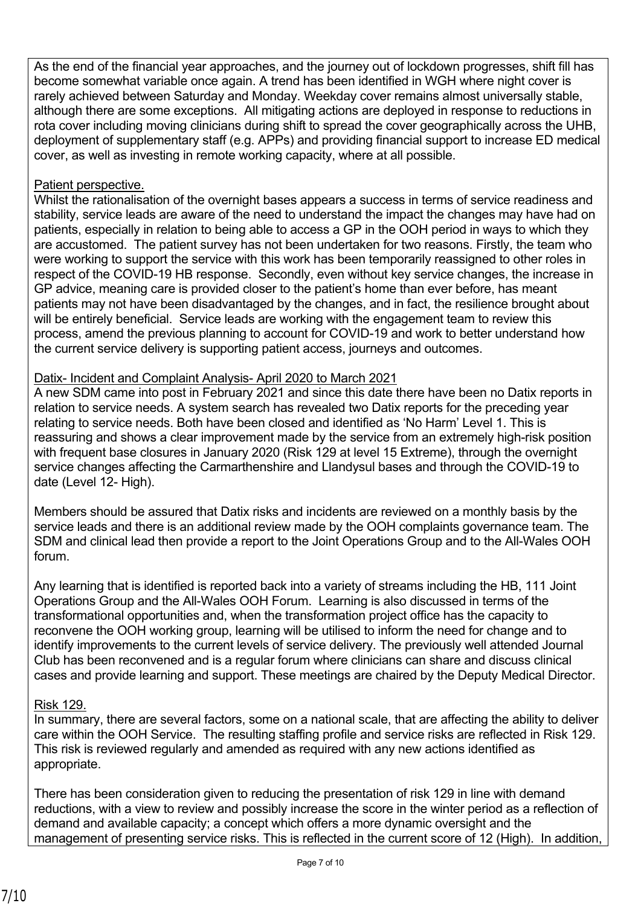As the end of the financial year approaches, and the journey out of lockdown progresses, shift fill has become somewhat variable once again. A trend has been identified in WGH where night cover is rarely achieved between Saturday and Monday. Weekday cover remains almost universally stable, although there are some exceptions. All mitigating actions are deployed in response to reductions in rota cover including moving clinicians during shift to spread the cover geographically across the UHB, deployment of supplementary staff (e.g. APPs) and providing financial support to increase ED medical cover, as well as investing in remote working capacity, where at all possible.

### Patient perspective.

Whilst the rationalisation of the overnight bases appears a success in terms of service readiness and stability, service leads are aware of the need to understand the impact the changes may have had on patients, especially in relation to being able to access a GP in the OOH period in ways to which they are accustomed. The patient survey has not been undertaken for two reasons. Firstly, the team who were working to support the service with this work has been temporarily reassigned to other roles in respect of the COVID-19 HB response. Secondly, even without key service changes, the increase in GP advice, meaning care is provided closer to the patient's home than ever before, has meant patients may not have been disadvantaged by the changes, and in fact, the resilience brought about will be entirely beneficial. Service leads are working with the engagement team to review this process, amend the previous planning to account for COVID-19 and work to better understand how the current service delivery is supporting patient access, journeys and outcomes.

## Datix- Incident and Complaint Analysis- April 2020 to March 2021

A new SDM came into post in February 2021 and since this date there have been no Datix reports in relation to service needs. A system search has revealed two Datix reports for the preceding year relating to service needs. Both have been closed and identified as 'No Harm' Level 1. This is reassuring and shows a clear improvement made by the service from an extremely high-risk position with frequent base closures in January 2020 (Risk 129 at level 15 Extreme), through the overnight service changes affecting the Carmarthenshire and Llandysul bases and through the COVID-19 to date (Level 12- High).

Members should be assured that Datix risks and incidents are reviewed on a monthly basis by the service leads and there is an additional review made by the OOH complaints governance team. The SDM and clinical lead then provide a report to the Joint Operations Group and to the All-Wales OOH forum.

Any learning that is identified is reported back into a variety of streams including the HB, 111 Joint Operations Group and the All-Wales OOH Forum. Learning is also discussed in terms of the transformational opportunities and, when the transformation project office has the capacity to reconvene the OOH working group, learning will be utilised to inform the need for change and to identify improvements to the current levels of service delivery. The previously well attended Journal Club has been reconvened and is a regular forum where clinicians can share and discuss clinical cases and provide learning and support. These meetings are chaired by the Deputy Medical Director.

#### Risk 129.

In summary, there are several factors, some on a national scale, that are affecting the ability to deliver care within the OOH Service. The resulting staffing profile and service risks are reflected in Risk 129. This risk is reviewed regularly and amended as required with any new actions identified as appropriate.

There has been consideration given to reducing the presentation of risk 129 in line with demand reductions, with a view to review and possibly increase the score in the winter period as a reflection of demand and available capacity; a concept which offers a more dynamic oversight and the management of presenting service risks. This is reflected in the current score of 12 (High). In addition,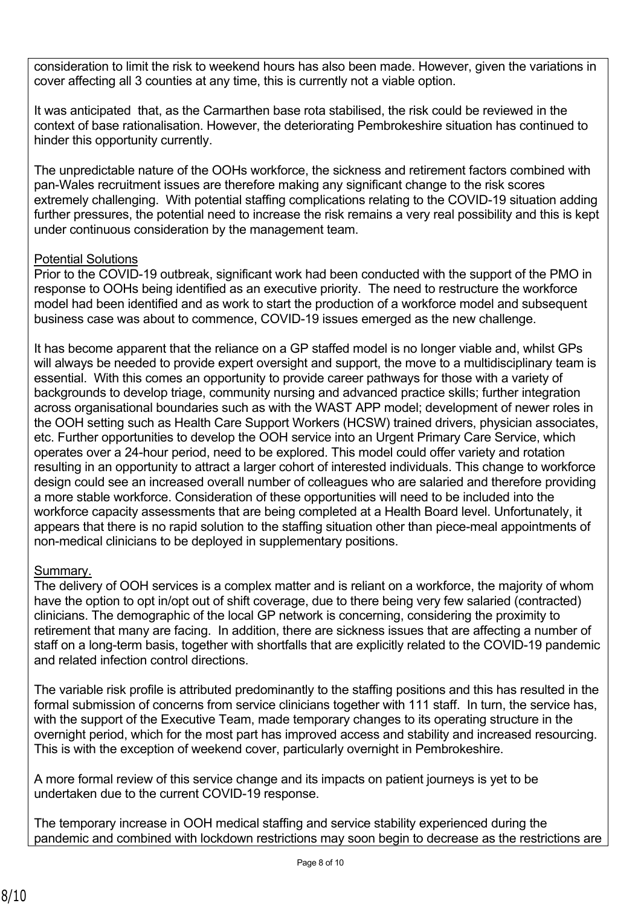consideration to limit the risk to weekend hours has also been made. However, given the variations in cover affecting all 3 counties at any time, this is currently not a viable option.

It was anticipated that, as the Carmarthen base rota stabilised, the risk could be reviewed in the context of base rationalisation. However, the deteriorating Pembrokeshire situation has continued to hinder this opportunity currently.

The unpredictable nature of the OOHs workforce, the sickness and retirement factors combined with pan-Wales recruitment issues are therefore making any significant change to the risk scores extremely challenging. With potential staffing complications relating to the COVID-19 situation adding further pressures, the potential need to increase the risk remains a very real possibility and this is kept under continuous consideration by the management team.

## Potential Solutions

Prior to the COVID-19 outbreak, significant work had been conducted with the support of the PMO in response to OOHs being identified as an executive priority. The need to restructure the workforce model had been identified and as work to start the production of a workforce model and subsequent business case was about to commence, COVID-19 issues emerged as the new challenge.

It has become apparent that the reliance on a GP staffed model is no longer viable and, whilst GPs will always be needed to provide expert oversight and support, the move to a multidisciplinary team is essential. With this comes an opportunity to provide career pathways for those with a variety of backgrounds to develop triage, community nursing and advanced practice skills; further integration across organisational boundaries such as with the WAST APP model; development of newer roles in the OOH setting such as Health Care Support Workers (HCSW) trained drivers, physician associates, etc. Further opportunities to develop the OOH service into an Urgent Primary Care Service, which operates over a 24-hour period, need to be explored. This model could offer variety and rotation resulting in an opportunity to attract a larger cohort of interested individuals. This change to workforce design could see an increased overall number of colleagues who are salaried and therefore providing a more stable workforce. Consideration of these opportunities will need to be included into the workforce capacity assessments that are being completed at a Health Board level. Unfortunately, it appears that there is no rapid solution to the staffing situation other than piece-meal appointments of non-medical clinicians to be deployed in supplementary positions.

# Summary.

The delivery of OOH services is a complex matter and is reliant on a workforce, the majority of whom have the option to opt in/opt out of shift coverage, due to there being very few salaried (contracted) clinicians. The demographic of the local GP network is concerning, considering the proximity to retirement that many are facing. In addition, there are sickness issues that are affecting a number of staff on a long-term basis, together with shortfalls that are explicitly related to the COVID-19 pandemic and related infection control directions.

The variable risk profile is attributed predominantly to the staffing positions and this has resulted in the formal submission of concerns from service clinicians together with 111 staff. In turn, the service has, with the support of the Executive Team, made temporary changes to its operating structure in the overnight period, which for the most part has improved access and stability and increased resourcing. This is with the exception of weekend cover, particularly overnight in Pembrokeshire.

A more formal review of this service change and its impacts on patient journeys is yet to be undertaken due to the current COVID-19 response.

The temporary increase in OOH medical staffing and service stability experienced during the pandemic and combined with lockdown restrictions may soon begin to decrease as the restrictions are